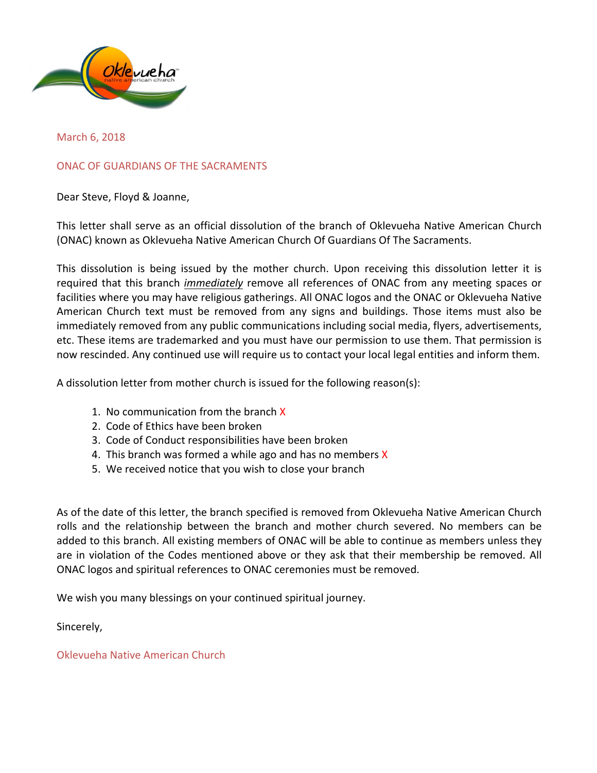

March 6, 2018

ONAC OF GUARDIANS OF THE SACRAMENTS

Dear Steve, Floyd & Joanne,

This letter shall serve as an official dissolution of the branch of Oklevueha Native American Church (ONAC) known as Oklevueha Native American Church Of Guardians Of The Sacraments.

This dissolution is being issued by the mother church. Upon receiving this dissolution letter it is required that this branch *immediately* remove all references of ONAC from any meeting spaces or facilities where you may have religious gatherings. All ONAC logos and the ONAC or Oklevueha Native American Church text must be removed from any signs and buildings. Those items must also be immediately removed from any public communications including social media, flyers, advertisements, etc. These items are trademarked and you must have our permission to use them. That permission is now rescinded. Any continued use will require us to contact your local legal entities and inform them.

A dissolution letter from mother church is issued for the following reason(s):

- 1. No communication from the branch  $X$
- 2. Code of Ethics have been broken
- 3. Code of Conduct responsibilities have been broken
- 4. This branch was formed a while ago and has no members  $X$
- 5. We received notice that you wish to close your branch

As of the date of this letter, the branch specified is removed from Oklevueha Native American Church rolls and the relationship between the branch and mother church severed. No members can be added to this branch. All existing members of ONAC will be able to continue as members unless they are in violation of the Codes mentioned above or they ask that their membership be removed. All ONAC logos and spiritual references to ONAC ceremonies must be removed.

We wish you many blessings on your continued spiritual journey.

Sincerely,

Oklevueha Native American Church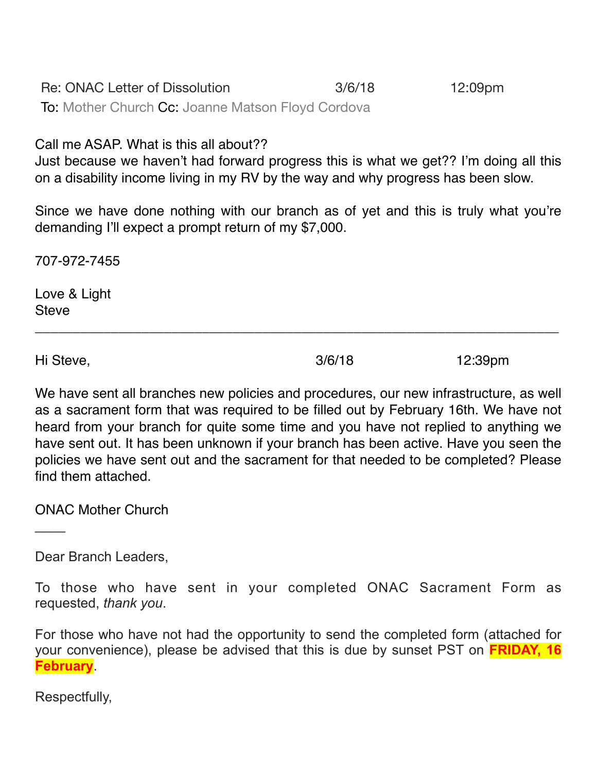Re: ONAC Letter of Dissolution 3/6/18 12:09pm To: Mother Church Cc: Joanne Matson Floyd Cordova

Call me ASAP. What is this all about??

Just because we haven't had forward progress this is what we get?? I'm doing all this on a disability income living in my RV by the way and why progress has been slow.

Since we have done nothing with our branch as of yet and this is truly what you're demanding I'll expect a prompt return of my \$7,000.

\_\_\_\_\_\_\_\_\_\_\_\_\_\_\_\_\_\_\_\_\_\_\_\_\_\_\_\_\_\_\_\_\_\_\_\_\_\_\_\_\_\_\_\_\_\_\_\_\_\_\_\_\_\_\_\_\_\_\_\_\_\_\_\_\_\_\_\_\_

707-972-7455

Love & Light Steve

Hi Steve, 3/6/18 12:39pm

 $\mathcal{L}$ 

We have sent all branches new policies and procedures, our new infrastructure, as well as a sacrament form that was required to be filled out by February 16th. We have not heard from your branch for quite some time and you have not replied to anything we have sent out. It has been unknown if your branch has been active. Have you seen the policies we have sent out and the sacrament for that needed to be completed? Please find them attached.

ONAC Mother Church

Dear Branch Leaders,

To those who have sent in your completed ONAC Sacrament Form as requested, *thank you*.

For those who have not had the opportunity to send the completed form (attached for your convenience), please be advised that this is due by sunset PST on **FRIDAY, 16 February**.

Respectfully,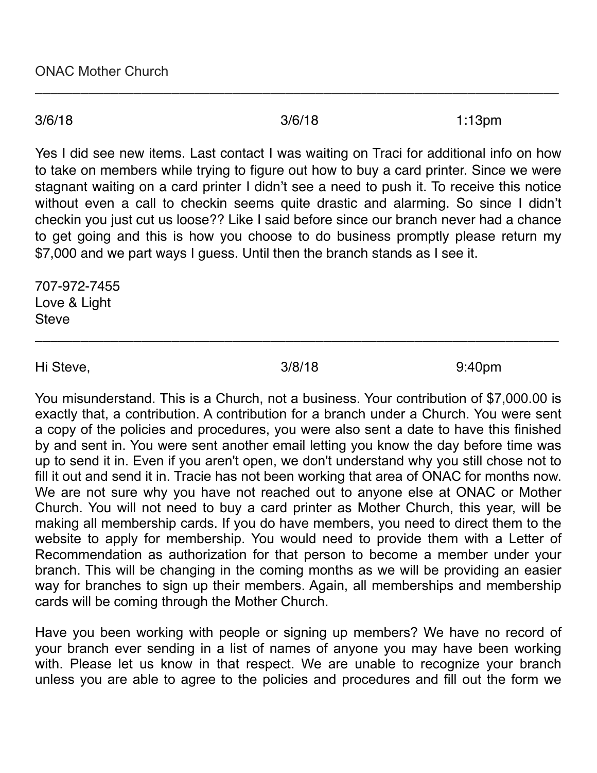\_\_\_\_\_\_\_\_\_\_\_\_\_\_\_\_\_\_\_\_\_\_\_\_\_\_\_\_\_\_\_\_\_\_\_\_\_\_\_\_\_\_\_\_\_\_\_\_\_\_\_\_\_\_\_\_\_\_\_\_\_\_\_\_\_\_\_\_\_

3/6/18 3/6/18 1:13pm

Yes I did see new items. Last contact I was waiting on Traci for additional info on how to take on members while trying to figure out how to buy a card printer. Since we were stagnant waiting on a card printer I didn't see a need to push it. To receive this notice without even a call to checkin seems quite drastic and alarming. So since I didn't checkin you just cut us loose?? Like I said before since our branch never had a chance to get going and this is how you choose to do business promptly please return my \$7,000 and we part ways I guess. Until then the branch stands as I see it.

707-972-7455 Love & Light **Steve** 

Hi Steve, 3/8/18 9:40pm

\_\_\_\_\_\_\_\_\_\_\_\_\_\_\_\_\_\_\_\_\_\_\_\_\_\_\_\_\_\_\_\_\_\_\_\_\_\_\_\_\_\_\_\_\_\_\_\_\_\_\_\_\_\_\_\_\_\_\_\_\_\_\_\_\_\_\_\_\_

You misunderstand. This is a Church, not a business. Your contribution of \$7,000.00 is exactly that, a contribution. A contribution for a branch under a Church. You were sent a copy of the policies and procedures, you were also sent a date to have this finished by and sent in. You were sent another email letting you know the day before time was up to send it in. Even if you aren't open, we don't understand why you still chose not to fill it out and send it in. Tracie has not been working that area of ONAC for months now. We are not sure why you have not reached out to anyone else at ONAC or Mother Church. You will not need to buy a card printer as Mother Church, this year, will be making all membership cards. If you do have members, you need to direct them to the website to apply for membership. You would need to provide them with a Letter of Recommendation as authorization for that person to become a member under your branch. This will be changing in the coming months as we will be providing an easier way for branches to sign up their members. Again, all memberships and membership cards will be coming through the Mother Church.

Have you been working with people or signing up members? We have no record of your branch ever sending in a list of names of anyone you may have been working with. Please let us know in that respect. We are unable to recognize your branch unless you are able to agree to the policies and procedures and fill out the form we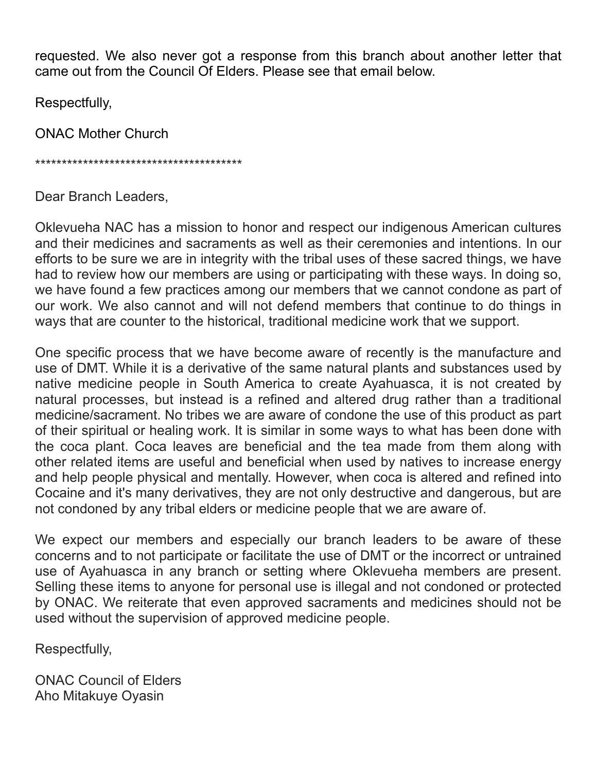requested. We also never got a response from this branch about another letter that came out from the Council Of Elders. Please see that email below.

Respectfully,

ONAC Mother Church

\*\*\*\*\*\*\*\*\*\*\*\*\*\*\*\*\*\*\*\*\*\*\*\*\*\*\*\*\*\*\*\*\*\*\*\*\*\*\*

Dear Branch Leaders,

Oklevueha NAC has a mission to honor and respect our indigenous American cultures and their medicines and sacraments as well as their ceremonies and intentions. In our efforts to be sure we are in integrity with the tribal uses of these sacred things, we have had to review how our members are using or participating with these ways. In doing so, we have found a few practices among our members that we cannot condone as part of our work. We also cannot and will not defend members that continue to do things in ways that are counter to the historical, traditional medicine work that we support.

One specific process that we have become aware of recently is the manufacture and use of DMT. While it is a derivative of the same natural plants and substances used by native medicine people in South America to create Ayahuasca, it is not created by natural processes, but instead is a refined and altered drug rather than a traditional medicine/sacrament. No tribes we are aware of condone the use of this product as part of their spiritual or healing work. It is similar in some ways to what has been done with the coca plant. Coca leaves are beneficial and the tea made from them along with other related items are useful and beneficial when used by natives to increase energy and help people physical and mentally. However, when coca is altered and refined into Cocaine and it's many derivatives, they are not only destructive and dangerous, but are not condoned by any tribal elders or medicine people that we are aware of.

We expect our members and especially our branch leaders to be aware of these concerns and to not participate or facilitate the use of DMT or the incorrect or untrained use of Ayahuasca in any branch or setting where Oklevueha members are present. Selling these items to anyone for personal use is illegal and not condoned or protected by ONAC. We reiterate that even approved sacraments and medicines should not be used without the supervision of approved medicine people.

Respectfully,

ONAC Council of Elders Aho Mitakuye Oyasin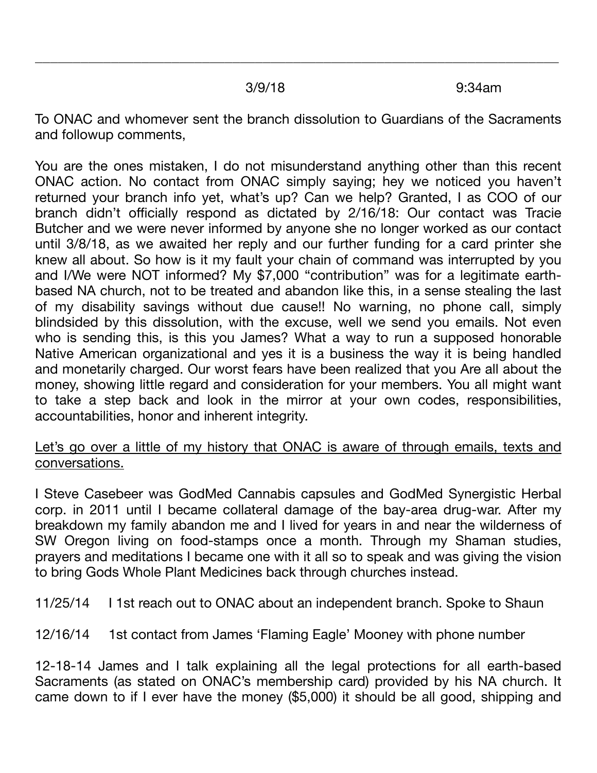$3/9/18$   $9:34$ am

To ONAC and whomever sent the branch dissolution to Guardians of the Sacraments and followup comments,

\_\_\_\_\_\_\_\_\_\_\_\_\_\_\_\_\_\_\_\_\_\_\_\_\_\_\_\_\_\_\_\_\_\_\_\_\_\_\_\_\_\_\_\_\_\_\_\_\_\_\_\_\_\_\_\_\_\_\_\_\_\_\_\_\_\_\_\_\_

You are the ones mistaken, I do not misunderstand anything other than this recent ONAC action. No contact from ONAC simply saying; hey we noticed you haven't returned your branch info yet, what's up? Can we help? Granted, I as COO of our branch didn't officially respond as dictated by 2/16/18: Our contact was Tracie Butcher and we were never informed by anyone she no longer worked as our contact until 3/8/18, as we awaited her reply and our further funding for a card printer she knew all about. So how is it my fault your chain of command was interrupted by you and I/We were NOT informed? My \$7,000 "contribution" was for a legitimate earthbased NA church, not to be treated and abandon like this, in a sense stealing the last of my disability savings without due cause!! No warning, no phone call, simply blindsided by this dissolution, with the excuse, well we send you emails. Not even who is sending this, is this you James? What a way to run a supposed honorable Native American organizational and yes it is a business the way it is being handled and monetarily charged. Our worst fears have been realized that you Are all about the money, showing little regard and consideration for your members. You all might want to take a step back and look in the mirror at your own codes, responsibilities, accountabilities, honor and inherent integrity.

## Let's go over a little of my history that ONAC is aware of through emails, texts and conversations.

I Steve Casebeer was GodMed Cannabis capsules and GodMed Synergistic Herbal corp. in 2011 until I became collateral damage of the bay-area drug-war. After my breakdown my family abandon me and I lived for years in and near the wilderness of SW Oregon living on food-stamps once a month. Through my Shaman studies, prayers and meditations I became one with it all so to speak and was giving the vision to bring Gods Whole Plant Medicines back through churches instead.

11/25/14 I 1st reach out to ONAC about an independent branch. Spoke to Shaun

12/16/14 1st contact from James 'Flaming Eagle' Mooney with phone number

12-18-14 James and I talk explaining all the legal protections for all earth-based Sacraments (as stated on ONAC's membership card) provided by his NA church. It came down to if I ever have the money (\$5,000) it should be all good, shipping and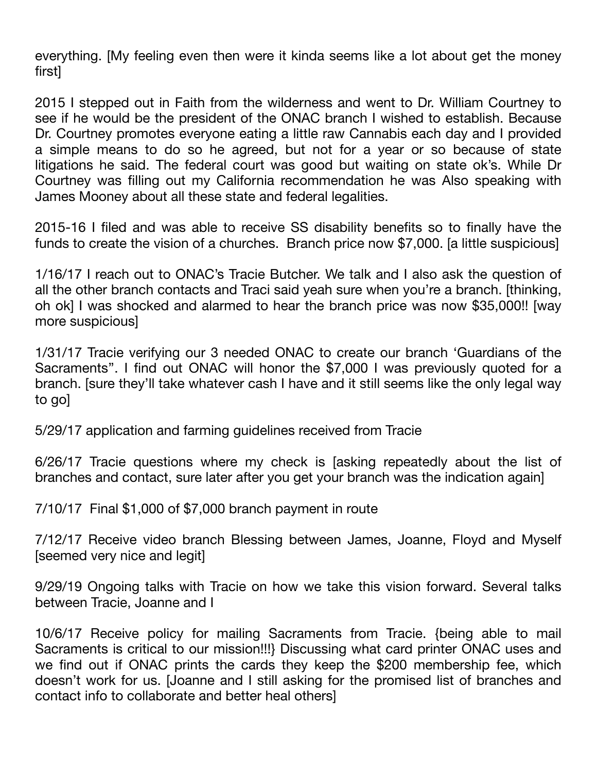everything. [My feeling even then were it kinda seems like a lot about get the money first]

2015 I stepped out in Faith from the wilderness and went to Dr. William Courtney to see if he would be the president of the ONAC branch I wished to establish. Because Dr. Courtney promotes everyone eating a little raw Cannabis each day and I provided a simple means to do so he agreed, but not for a year or so because of state litigations he said. The federal court was good but waiting on state ok's. While Dr Courtney was filling out my California recommendation he was Also speaking with James Mooney about all these state and federal legalities.

2015-16 I filed and was able to receive SS disability benefits so to finally have the funds to create the vision of a churches. Branch price now \$7,000. [a little suspicious]

1/16/17 I reach out to ONAC's Tracie Butcher. We talk and I also ask the question of all the other branch contacts and Traci said yeah sure when you're a branch. [thinking, oh ok] I was shocked and alarmed to hear the branch price was now \$35,000!! [way more suspicious]

1/31/17 Tracie verifying our 3 needed ONAC to create our branch 'Guardians of the Sacraments''. I find out ONAC will honor the \$7,000 I was previously quoted for a branch. [sure they'll take whatever cash I have and it still seems like the only legal way to go]

5/29/17 application and farming guidelines received from Tracie

6/26/17 Tracie questions where my check is [asking repeatedly about the list of branches and contact, sure later after you get your branch was the indication again]

7/10/17 Final \$1,000 of \$7,000 branch payment in route

7/12/17 Receive video branch Blessing between James, Joanne, Floyd and Myself [seemed very nice and legit]

9/29/19 Ongoing talks with Tracie on how we take this vision forward. Several talks between Tracie, Joanne and I

10/6/17 Receive policy for mailing Sacraments from Tracie. {being able to mail Sacraments is critical to our mission!!!} Discussing what card printer ONAC uses and we find out if ONAC prints the cards they keep the \$200 membership fee, which doesn't work for us. [Joanne and I still asking for the promised list of branches and contact info to collaborate and better heal others]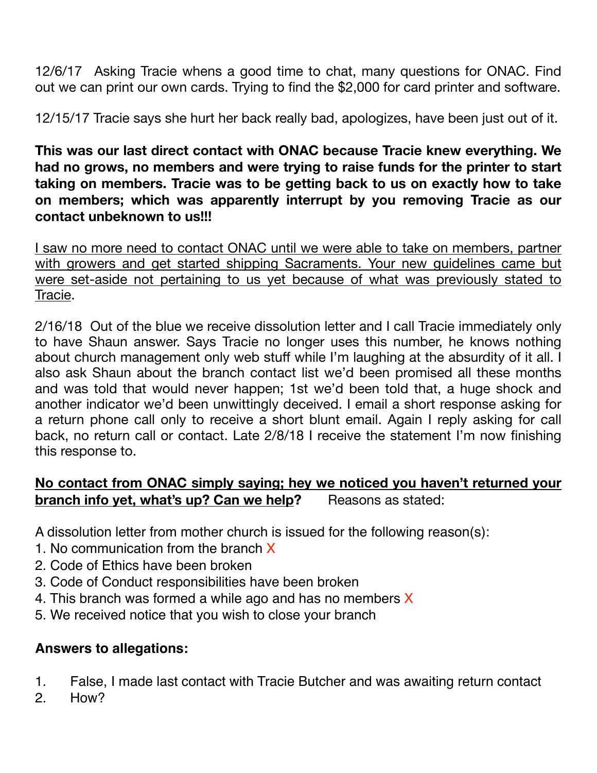12/6/17 Asking Tracie whens a good time to chat, many questions for ONAC. Find out we can print our own cards. Trying to find the \$2,000 for card printer and software.

12/15/17 Tracie says she hurt her back really bad, apologizes, have been just out of it.

**This was our last direct contact with ONAC because Tracie knew everything. We had no grows, no members and were trying to raise funds for the printer to start taking on members. Tracie was to be getting back to us on exactly how to take on members; which was apparently interrupt by you removing Tracie as our contact unbeknown to us!!!**

I saw no more need to contact ONAC until we were able to take on members, partner with growers and get started shipping Sacraments. Your new guidelines came but were set-aside not pertaining to us yet because of what was previously stated to Tracie.

2/16/18 Out of the blue we receive dissolution letter and I call Tracie immediately only to have Shaun answer. Says Tracie no longer uses this number, he knows nothing about church management only web stuff while I'm laughing at the absurdity of it all. I also ask Shaun about the branch contact list we'd been promised all these months and was told that would never happen; 1st we'd been told that, a huge shock and another indicator we'd been unwittingly deceived. I email a short response asking for a return phone call only to receive a short blunt email. Again I reply asking for call back, no return call or contact. Late 2/8/18 I receive the statement I'm now finishing this response to.

## **No contact from ONAC simply saying; hey we noticed you haven't returned your branch info yet, what's up? Can we help?** Reasons as stated:

A dissolution letter from mother church is issued for the following reason(s):

- 1. No communication from the branch X
- 2. Code of Ethics have been broken
- 3. Code of Conduct responsibilities have been broken
- 4. This branch was formed a while ago and has no members  $X$
- 5. We received notice that you wish to close your branch

## **Answers to allegations:**

- 1. False, I made last contact with Tracie Butcher and was awaiting return contact
- 2. How?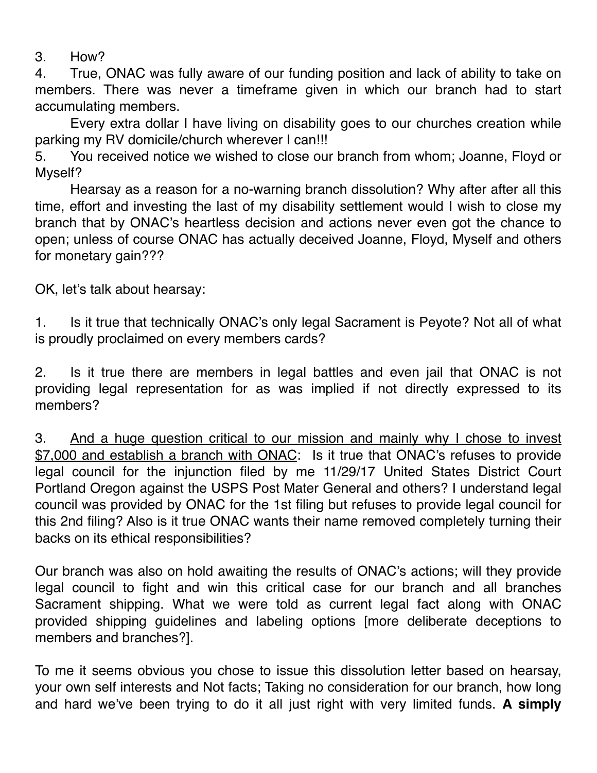3. How?

4. True, ONAC was fully aware of our funding position and lack of ability to take on members. There was never a timeframe given in which our branch had to start accumulating members.

Every extra dollar I have living on disability goes to our churches creation while parking my RV domicile/church wherever I can!!!

5. You received notice we wished to close our branch from whom; Joanne, Floyd or Myself?

Hearsay as a reason for a no-warning branch dissolution? Why after after all this time, effort and investing the last of my disability settlement would I wish to close my branch that by ONAC's heartless decision and actions never even got the chance to open; unless of course ONAC has actually deceived Joanne, Floyd, Myself and others for monetary gain???

OK, let's talk about hearsay:

1. Is it true that technically ONAC's only legal Sacrament is Peyote? Not all of what is proudly proclaimed on every members cards?

2. Is it true there are members in legal battles and even jail that ONAC is not providing legal representation for as was implied if not directly expressed to its members?

3. And a huge question critical to our mission and mainly why I chose to invest \$7,000 and establish a branch with ONAC: Is it true that ONAC's refuses to provide legal council for the injunction filed by me 11/29/17 United States District Court Portland Oregon against the USPS Post Mater General and others? I understand legal council was provided by ONAC for the 1st filing but refuses to provide legal council for this 2nd filing? Also is it true ONAC wants their name removed completely turning their backs on its ethical responsibilities?

Our branch was also on hold awaiting the results of ONAC's actions; will they provide legal council to fight and win this critical case for our branch and all branches Sacrament shipping. What we were told as current legal fact along with ONAC provided shipping guidelines and labeling options [more deliberate deceptions to members and branches?].

To me it seems obvious you chose to issue this dissolution letter based on hearsay, your own self interests and Not facts; Taking no consideration for our branch, how long and hard we've been trying to do it all just right with very limited funds. **A simply**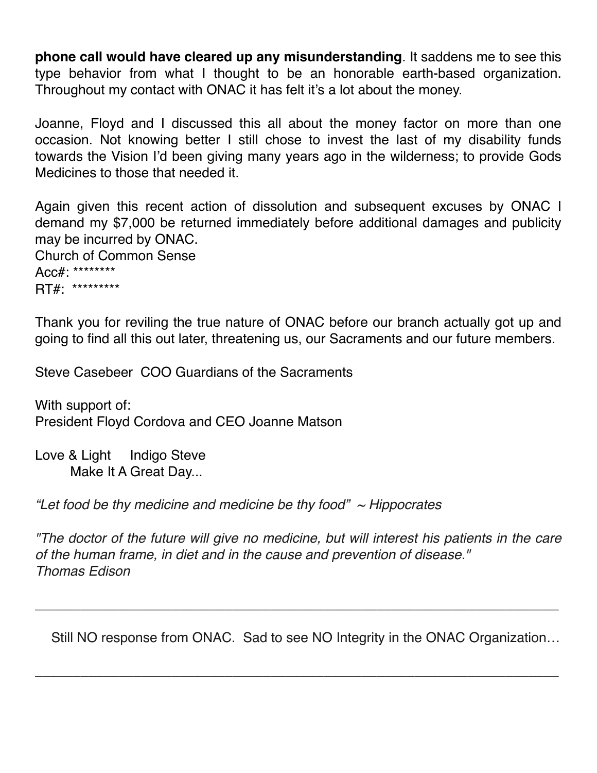**phone call would have cleared up any misunderstanding**. It saddens me to see this type behavior from what I thought to be an honorable earth-based organization. Throughout my contact with ONAC it has felt it's a lot about the money.

Joanne, Floyd and I discussed this all about the money factor on more than one occasion. Not knowing better I still chose to invest the last of my disability funds towards the Vision I'd been giving many years ago in the wilderness; to provide Gods Medicines to those that needed it.

Again given this recent action of dissolution and subsequent excuses by ONAC I demand my \$7,000 be returned immediately before additional damages and publicity may be incurred by ONAC. Church of Common Sense

Acc#: \*\*\*\*\*\*\*\* RT#: \*\*\*\*\*\*\*\*\*

Thank you for reviling the true nature of ONAC before our branch actually got up and going to find all this out later, threatening us, our Sacraments and our future members.

Steve Casebeer COO Guardians of the Sacraments

With support of: President Floyd Cordova and CEO Joanne Matson

Love & Light Indigo Steve Make It A Great Day...

*"Let food be thy medicine and medicine be thy food" ~ Hippocrates*

*"The doctor of the future will give no medicine, but will interest his patients in the care of the human frame, in diet and in the cause and prevention of disease." Thomas Edison*

\_\_\_\_\_\_\_\_\_\_\_\_\_\_\_\_\_\_\_\_\_\_\_\_\_\_\_\_\_\_\_\_\_\_\_\_\_\_\_\_\_\_\_\_\_\_\_\_\_\_\_\_\_\_\_\_\_\_\_\_\_\_\_\_\_\_\_\_\_

\_\_\_\_\_\_\_\_\_\_\_\_\_\_\_\_\_\_\_\_\_\_\_\_\_\_\_\_\_\_\_\_\_\_\_\_\_\_\_\_\_\_\_\_\_\_\_\_\_\_\_\_\_\_\_\_\_\_\_\_\_\_\_\_\_\_\_\_\_

Still NO response from ONAC. Sad to see NO Integrity in the ONAC Organization…